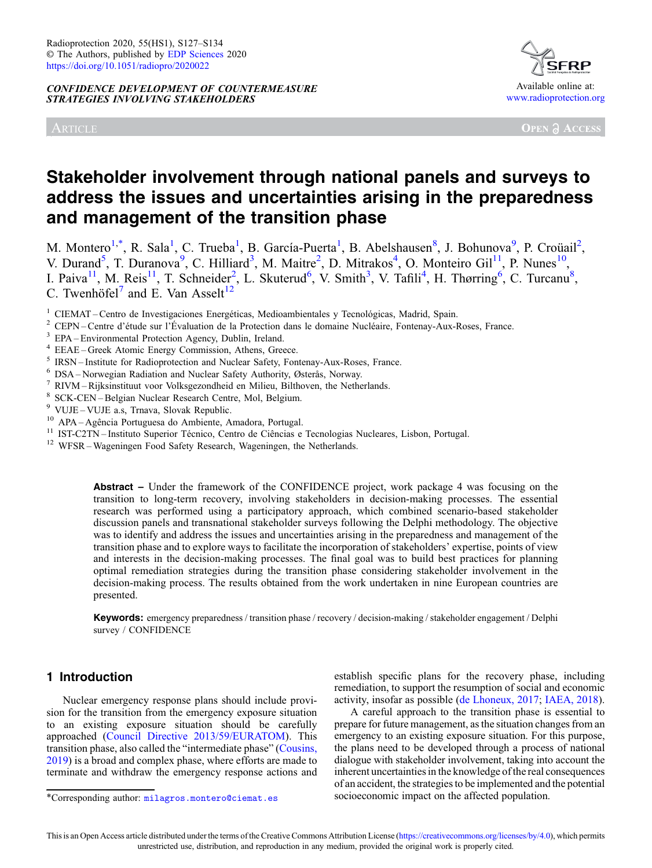CONFIDENCE DEVELOPMENT OF COUNTERMEASURE STRATEGIES INVOLVING STAKEHOLDERS

ARTICLE



# Stakeholder involvement through national panels and surveys to address the issues and uncertainties arising in the preparedness and management of the transition phase

M. Montero<sup>1,\*</sup>, R. Sala<sup>1</sup>, C. Trueba<sup>1</sup>, B. García-Puerta<sup>1</sup>, B. Abelshausen<sup>8</sup>, J. Bohunova<sup>9</sup>, P. Croüail<sup>2</sup>, V. Durand<sup>5</sup>, T. Duranova<sup>9</sup>, C. Hilliard<sup>3</sup>, M. Maitre<sup>2</sup>, D. Mitrakos<sup>4</sup>, O. Monteiro Gil<sup>11</sup>, P. Nunes<sup>10</sup>, I. Paiva<sup>11</sup>, M. Reis<sup>11</sup>, T. Schneider<sup>2</sup>, L. Skuterud<sup>6</sup>, V. Smith<sup>3</sup>, V. Tafili<sup>4</sup>, H. Thørring<sup>6</sup>, C. Turcanu<sup>8</sup>, C. Twenhöfel<sup>7</sup> and E. Van Asselt<sup>12</sup>

<sup>1</sup> CIEMAT – Centro de Investigaciones Energéticas, Medioambientales y Tecnológicas, Madrid, Spain.<br>
<sup>2</sup> CEPN – Centre d'étude sur l'Évaluation de la Protection dans le domaine Nucléaire, Fontenay-Aux-Roses, France.<br>
<sup>3</sup> E

Abstract – Under the framework of the CONFIDENCE project, work package 4 was focusing on the transition to long-term recovery, involving stakeholders in decision-making processes. The essential research was performed using a participatory approach, which combined scenario-based stakeholder discussion panels and transnational stakeholder surveys following the Delphi methodology. The objective was to identify and address the issues and uncertainties arising in the preparedness and management of the transition phase and to explore ways to facilitate the incorporation of stakeholders' expertise, points of view and interests in the decision-making processes. The final goal was to build best practices for planning optimal remediation strategies during the transition phase considering stakeholder involvement in the decision-making process. The results obtained from the work undertaken in nine European countries are presented.

Keywords: emergency preparedness / transition phase / recovery / decision-making / stakeholder engagement / Delphi survey / CONFIDENCE

# 1 Introduction

Nuclear emergency response plans should include provision for the transition from the emergency exposure situation to an existing exposure situation should be carefully approached [\(Council Directive 2013/59/EURATOM\)](#page-6-0). This transition phase, also called the "intermediate phase" [\(Cousins,](#page-6-0) [2019](#page-6-0)) is a broad and complex phase, where efforts are made to terminate and withdraw the emergency response actions and establish specific plans for the recovery phase, including remediation, to support the resumption of social and economic activity, insofar as possible ([de Lhoneux, 2017;](#page-7-0) [IAEA, 2018\)](#page-7-0).

A careful approach to the transition phase is essential to prepare for future management, as the situation changes from an emergency to an existing exposure situation. For this purpose, the plans need to be developed through a process of national dialogue with stakeholder involvement, taking into account the inherent uncertainties in the knowledge of the real consequences of an accident, the strategies to be implemented and the potential \*Corresponding author: [milagros.montero@ciemat.es](mailto:milagros.montero@ciemat.es) socioeconomic impact on the affected population.

This is an Open Access article distributed under the terms of the Creative Commons Attribution License ([https://creativecommons.org/licenses/by/4.0\)](https://creativecommons.org/licenses/by/4.0), which permits unrestricted use, distribution, and reproduction in any medium, provided the original work is properly cited.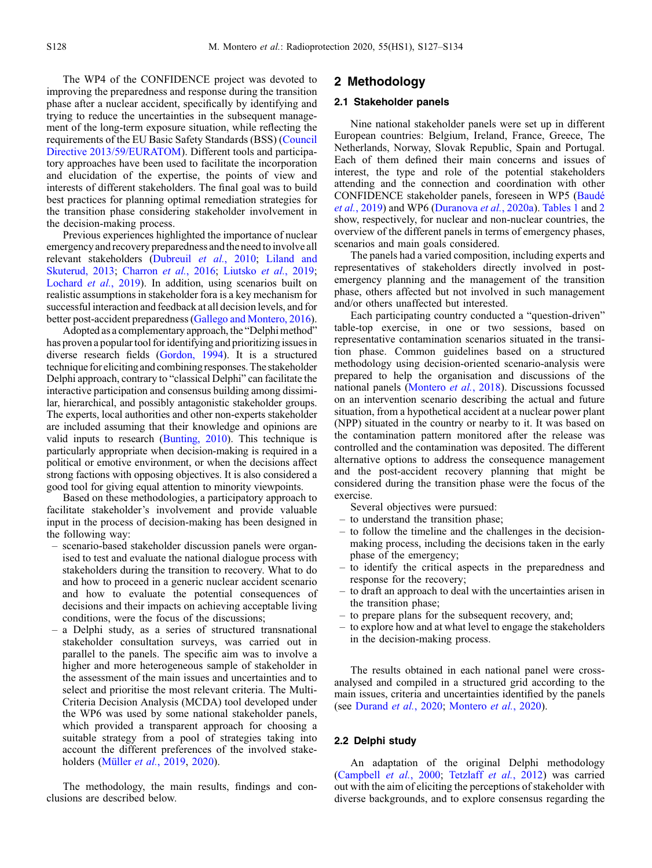The WP4 of the CONFIDENCE project was devoted to improving the preparedness and response during the transition phase after a nuclear accident, specifically by identifying and trying to reduce the uncertainties in the subsequent management of the long-term exposure situation, while reflecting the requirements of the EU Basic Safety Standards (BSS) [\(Council](#page-6-0) [Directive 2013/59/EURATOM\)](#page-6-0). Different tools and participatory approaches have been used to facilitate the incorporation and elucidation of the expertise, the points of view and interests of different stakeholders. The final goal was to build best practices for planning optimal remediation strategies for the transition phase considering stakeholder involvement in the decision-making process.

Previous experiences highlighted the importance of nuclear emergency and recovery preparedness and the need to involve all relevant stakeholders ([Dubreuil](#page-7-0) et al., 2010; [Liland and](#page-7-0) [Skuterud, 2013;](#page-7-0) [Charron](#page-6-0) et al., 2016; [Liutsko](#page-7-0) et al., 2019; [Lochard](#page-7-0) *et al.*, 2019). In addition, using scenarios built on realistic assumptions in stakeholder fora is a key mechanism for successful interaction and feedback at all decision levels, and for better post-accident preparedness [\(Gallego and Montero, 2016](#page-7-0)).

Adopted as a complementary approach, the "Delphi method" has proven a popular tool for identifying and prioritizing issues in diverse research fields [\(Gordon, 1994\)](#page-7-0). It is a structured technique for eliciting and combining responses. The stakeholder Delphi approach, contrary to "classical Delphi" can facilitate the interactive participation and consensus building among dissimilar, hierarchical, and possibly antagonistic stakeholder groups. The experts, local authorities and other non-experts stakeholder are included assuming that their knowledge and opinions are valid inputs to research [\(Bunting, 2010](#page-6-0)). This technique is particularly appropriate when decision-making is required in a political or emotive environment, or when the decisions affect strong factions with opposing objectives. It is also considered a good tool for giving equal attention to minority viewpoints.

Based on these methodologies, a participatory approach to facilitate stakeholder's involvement and provide valuable input in the process of decision-making has been designed in the following way:

- scenario-based stakeholder discussion panels were organised to test and evaluate the national dialogue process with stakeholders during the transition to recovery. What to do and how to proceed in a generic nuclear accident scenario and how to evaluate the potential consequences of decisions and their impacts on achieving acceptable living conditions, were the focus of the discussions;
- a Delphi study, as a series of structured transnational stakeholder consultation surveys, was carried out in parallel to the panels. The specific aim was to involve a higher and more heterogeneous sample of stakeholder in the assessment of the main issues and uncertainties and to select and prioritise the most relevant criteria. The Multi-Criteria Decision Analysis (MCDA) tool developed under the WP6 was used by some national stakeholder panels, which provided a transparent approach for choosing a suitable strategy from a pool of strategies taking into account the different preferences of the involved stakeholders [\(Müller](#page-7-0) et al., 2019, [2020](#page-7-0)).

The methodology, the main results, findings and conclusions are described below.

## 2 Methodology

#### 2.1 Stakeholder panels

Nine national stakeholder panels were set up in different European countries: Belgium, Ireland, France, Greece, The Netherlands, Norway, Slovak Republic, Spain and Portugal. Each of them defined their main concerns and issues of interest, the type and role of the potential stakeholders attending and the connection and coordination with other CONFIDENCE stakeholder panels, foreseen in WP5 [\(Baudé](#page-6-0) et al.[, 2019\)](#page-6-0) and WP6 [\(Duranova](#page-7-0) et al., 2020a). [Tables 1](#page-2-0) and [2](#page-2-0) show, respectively, for nuclear and non-nuclear countries, the overview of the different panels in terms of emergency phases, scenarios and main goals considered.

The panels had a varied composition, including experts and representatives of stakeholders directly involved in postemergency planning and the management of the transition phase, others affected but not involved in such management and/or others unaffected but interested.

Each participating country conducted a "question-driven" table-top exercise, in one or two sessions, based on representative contamination scenarios situated in the transition phase. Common guidelines based on a structured methodology using decision-oriented scenario-analysis were prepared to help the organisation and discussions of the national panels [\(Montero](#page-7-0) et al., 2018). Discussions focussed on an intervention scenario describing the actual and future situation, from a hypothetical accident at a nuclear power plant (NPP) situated in the country or nearby to it. It was based on the contamination pattern monitored after the release was controlled and the contamination was deposited. The different alternative options to address the consequence management and the post-accident recovery planning that might be considered during the transition phase were the focus of the exercise.

Several objectives were pursued:

- to understand the transition phase;
- to follow the timeline and the challenges in the decisionmaking process, including the decisions taken in the early phase of the emergency;
- to identify the critical aspects in the preparedness and response for the recovery;
- to draft an approach to deal with the uncertainties arisen in the transition phase;
- to prepare plans for the subsequent recovery, and;
- to explore how and at what level to engage the stakeholders in the decision-making process.

The results obtained in each national panel were crossanalysed and compiled in a structured grid according to the main issues, criteria and uncertainties identified by the panels (see [Durand](#page-7-0) et al., 2020; [Montero](#page-7-0) et al., 2020).

#### 2.2 Delphi study

An adaptation of the original Delphi methodology ([Campbell](#page-6-0) et al., 2000; Tetzlaff et al., 2012) was carried out with the aim of eliciting the perceptions of stakeholder with diverse backgrounds, and to explore consensus regarding the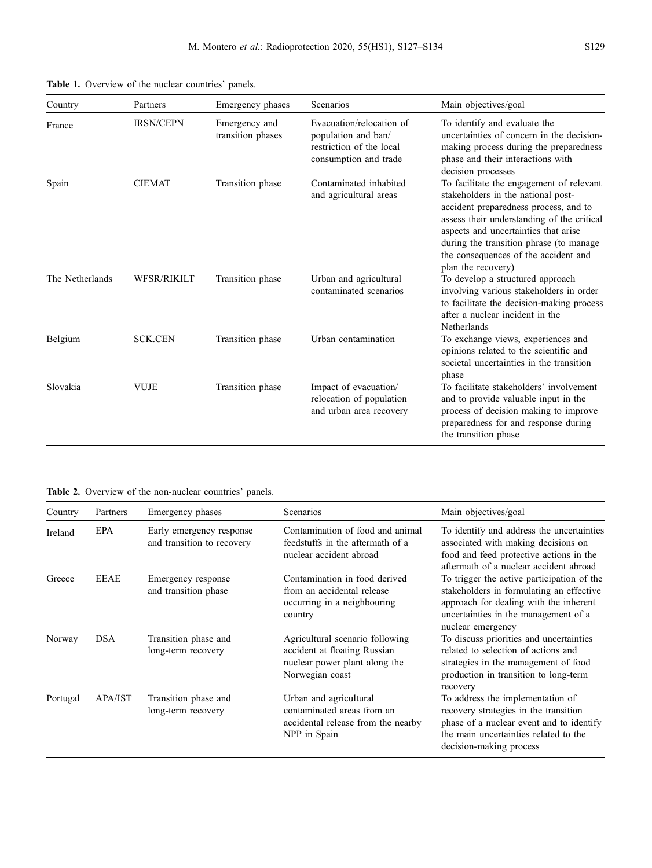| Country         | Partners           | Emergency phases                   | Scenarios                                                                                            | Main objectives/goal                                                                                                                                                                                                                                                                                                    |
|-----------------|--------------------|------------------------------------|------------------------------------------------------------------------------------------------------|-------------------------------------------------------------------------------------------------------------------------------------------------------------------------------------------------------------------------------------------------------------------------------------------------------------------------|
| France          | <b>IRSN/CEPN</b>   | Emergency and<br>transition phases | Evacuation/relocation of<br>population and ban/<br>restriction of the local<br>consumption and trade | To identify and evaluate the<br>uncertainties of concern in the decision-<br>making process during the preparedness<br>phase and their interactions with<br>decision processes                                                                                                                                          |
| Spain           | <b>CIEMAT</b>      | Transition phase                   | Contaminated inhabited<br>and agricultural areas                                                     | To facilitate the engagement of relevant<br>stakeholders in the national post-<br>accident preparedness process, and to<br>assess their understanding of the critical<br>aspects and uncertainties that arise<br>during the transition phrase (to manage)<br>the consequences of the accident and<br>plan the recovery) |
| The Netherlands | <b>WFSR/RIKILT</b> | Transition phase                   | Urban and agricultural<br>contaminated scenarios                                                     | To develop a structured approach<br>involving various stakeholders in order<br>to facilitate the decision-making process<br>after a nuclear incident in the<br>Netherlands                                                                                                                                              |
| Belgium         | <b>SCK.CEN</b>     | Transition phase                   | Urban contamination                                                                                  | To exchange views, experiences and<br>opinions related to the scientific and<br>societal uncertainties in the transition<br>phase                                                                                                                                                                                       |
| Slovakia        | <b>VUJE</b>        | Transition phase                   | Impact of evacuation/<br>relocation of population<br>and urban area recovery                         | To facilitate stakeholders' involvement<br>and to provide valuable input in the<br>process of decision making to improve<br>preparedness for and response during<br>the transition phase                                                                                                                                |

<span id="page-2-0"></span>Table 1. Overview of the nuclear countries' panels.

Table 2. Overview of the non-nuclear countries' panels.

| Country  | Partners       | Emergency phases                                       | Scenarios                                                                                                           | Main objectives/goal                                                                                                                                                                          |
|----------|----------------|--------------------------------------------------------|---------------------------------------------------------------------------------------------------------------------|-----------------------------------------------------------------------------------------------------------------------------------------------------------------------------------------------|
| Ireland  | EPA            | Early emergency response<br>and transition to recovery | Contamination of food and animal<br>feedstuffs in the aftermath of a<br>nuclear accident abroad                     | To identify and address the uncertainties<br>associated with making decisions on<br>food and feed protective actions in the<br>aftermath of a nuclear accident abroad                         |
| Greece   | <b>EEAE</b>    | Emergency response<br>and transition phase             | Contamination in food derived<br>from an accidental release<br>occurring in a neighbouring<br>country               | To trigger the active participation of the<br>stakeholders in formulating an effective<br>approach for dealing with the inherent<br>uncertainties in the management of a<br>nuclear emergency |
| Norway   | <b>DSA</b>     | Transition phase and<br>long-term recovery             | Agricultural scenario following<br>accident at floating Russian<br>nuclear power plant along the<br>Norwegian coast | To discuss priorities and uncertainties<br>related to selection of actions and<br>strategies in the management of food<br>production in transition to long-term<br>recovery                   |
| Portugal | <b>APA/IST</b> | Transition phase and<br>long-term recovery             | Urban and agricultural<br>contaminated areas from an<br>accidental release from the nearby<br>NPP in Spain          | To address the implementation of<br>recovery strategies in the transition<br>phase of a nuclear event and to identify<br>the main uncertainties related to the<br>decision-making process     |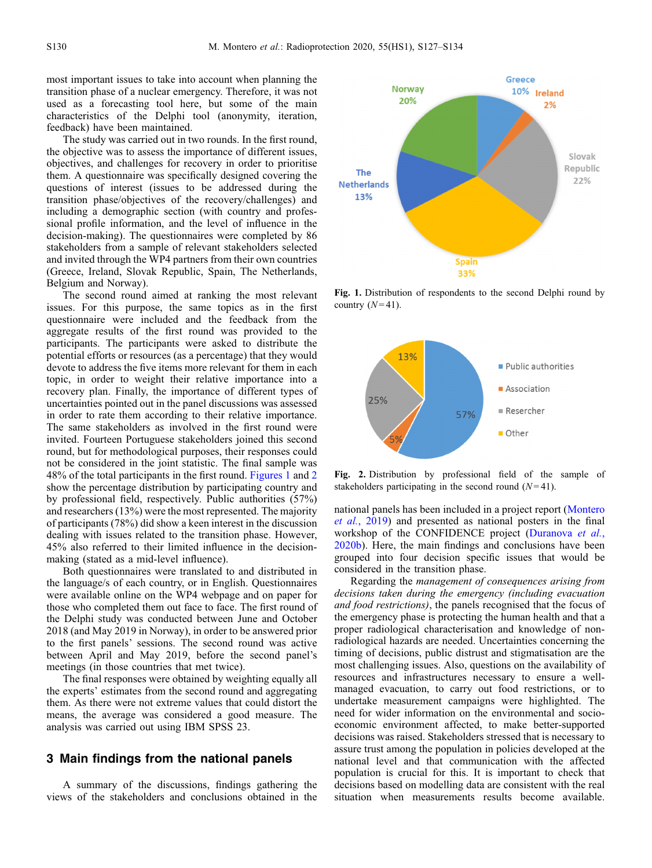most important issues to take into account when planning the transition phase of a nuclear emergency. Therefore, it was not used as a forecasting tool here, but some of the main characteristics of the Delphi tool (anonymity, iteration, feedback) have been maintained.

The study was carried out in two rounds. In the first round, the objective was to assess the importance of different issues, objectives, and challenges for recovery in order to prioritise them. A questionnaire was specifically designed covering the questions of interest (issues to be addressed during the transition phase/objectives of the recovery/challenges) and including a demographic section (with country and professional profile information, and the level of influence in the decision-making). The questionnaires were completed by 86 stakeholders from a sample of relevant stakeholders selected and invited through the WP4 partners from their own countries (Greece, Ireland, Slovak Republic, Spain, The Netherlands, Belgium and Norway).

The second round aimed at ranking the most relevant issues. For this purpose, the same topics as in the first questionnaire were included and the feedback from the aggregate results of the first round was provided to the participants. The participants were asked to distribute the potential efforts or resources (as a percentage) that they would devote to address the five items more relevant for them in each topic, in order to weight their relative importance into a recovery plan. Finally, the importance of different types of uncertainties pointed out in the panel discussions was assessed in order to rate them according to their relative importance. The same stakeholders as involved in the first round were invited. Fourteen Portuguese stakeholders joined this second round, but for methodological purposes, their responses could not be considered in the joint statistic. The final sample was 48% of the total participants in the first round. Figures 1 and 2 show the percentage distribution by participating country and by professional field, respectively. Public authorities (57%) and researchers (13%) were the most represented. The majority of participants (78%) did show a keen interest in the discussion dealing with issues related to the transition phase. However, 45% also referred to their limited influence in the decisionmaking (stated as a mid-level influence).

Both questionnaires were translated to and distributed in the language/s of each country, or in English. Questionnaires were available online on the WP4 webpage and on paper for those who completed them out face to face. The first round of the Delphi study was conducted between June and October 2018 (and May 2019 in Norway), in order to be answered prior to the first panels' sessions. The second round was active between April and May 2019, before the second panel's meetings (in those countries that met twice).

The final responses were obtained by weighting equally all the experts' estimates from the second round and aggregating them. As there were not extreme values that could distort the means, the average was considered a good measure. The analysis was carried out using IBM SPSS 23.

## 3 Main findings from the national panels

A summary of the discussions, findings gathering the views of the stakeholders and conclusions obtained in the



Fig. 1. Distribution of respondents to the second Delphi round by country  $(N=41)$ .



Fig. 2. Distribution by professional field of the sample of stakeholders participating in the second round  $(N=41)$ .

national panels has been included in a project report [\(Montero](#page-7-0) et al.[, 2019](#page-7-0)) and presented as national posters in the final workshop of the CONFIDENCE project ([Duranova](#page-7-0) et al., [2020b](#page-7-0)). Here, the main findings and conclusions have been grouped into four decision specific issues that would be considered in the transition phase.

Regarding the management of consequences arising from decisions taken during the emergency (including evacuation and food restrictions), the panels recognised that the focus of the emergency phase is protecting the human health and that a proper radiological characterisation and knowledge of nonradiological hazards are needed. Uncertainties concerning the timing of decisions, public distrust and stigmatisation are the most challenging issues. Also, questions on the availability of resources and infrastructures necessary to ensure a wellmanaged evacuation, to carry out food restrictions, or to undertake measurement campaigns were highlighted. The need for wider information on the environmental and socioeconomic environment affected, to make better-supported decisions was raised. Stakeholders stressed that is necessary to assure trust among the population in policies developed at the national level and that communication with the affected population is crucial for this. It is important to check that decisions based on modelling data are consistent with the real situation when measurements results become available.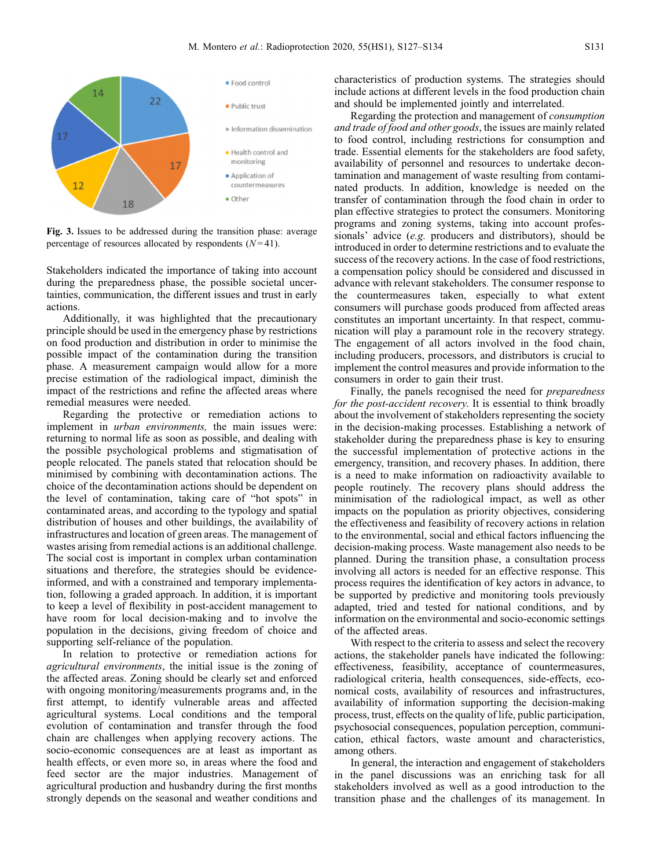<span id="page-4-0"></span>

Fig. 3. Issues to be addressed during the transition phase: average percentage of resources allocated by respondents  $(N=41)$ .

Stakeholders indicated the importance of taking into account during the preparedness phase, the possible societal uncertainties, communication, the different issues and trust in early actions.

Additionally, it was highlighted that the precautionary principle should be used in the emergency phase by restrictions on food production and distribution in order to minimise the possible impact of the contamination during the transition phase. A measurement campaign would allow for a more precise estimation of the radiological impact, diminish the impact of the restrictions and refine the affected areas where remedial measures were needed.

Regarding the protective or remediation actions to implement in urban environments, the main issues were: returning to normal life as soon as possible, and dealing with the possible psychological problems and stigmatisation of people relocated. The panels stated that relocation should be minimised by combining with decontamination actions. The choice of the decontamination actions should be dependent on the level of contamination, taking care of "hot spots" in contaminated areas, and according to the typology and spatial distribution of houses and other buildings, the availability of infrastructures and location of green areas. The management of wastes arising from remedial actions is an additional challenge. The social cost is important in complex urban contamination situations and therefore, the strategies should be evidenceinformed, and with a constrained and temporary implementation, following a graded approach. In addition, it is important to keep a level of flexibility in post-accident management to have room for local decision-making and to involve the population in the decisions, giving freedom of choice and supporting self-reliance of the population.

In relation to protective or remediation actions for agricultural environments, the initial issue is the zoning of the affected areas. Zoning should be clearly set and enforced with ongoing monitoring/measurements programs and, in the first attempt, to identify vulnerable areas and affected agricultural systems. Local conditions and the temporal evolution of contamination and transfer through the food chain are challenges when applying recovery actions. The socio-economic consequences are at least as important as health effects, or even more so, in areas where the food and feed sector are the major industries. Management of agricultural production and husbandry during the first months strongly depends on the seasonal and weather conditions and characteristics of production systems. The strategies should include actions at different levels in the food production chain and should be implemented jointly and interrelated.

Regarding the protection and management of consumption and trade of food and other goods, the issues are mainly related to food control, including restrictions for consumption and trade. Essential elements for the stakeholders are food safety, availability of personnel and resources to undertake decontamination and management of waste resulting from contaminated products. In addition, knowledge is needed on the transfer of contamination through the food chain in order to plan effective strategies to protect the consumers. Monitoring programs and zoning systems, taking into account professionals' advice (e.g. producers and distributors), should be introduced in order to determine restrictions and to evaluate the success of the recovery actions. In the case of food restrictions, a compensation policy should be considered and discussed in advance with relevant stakeholders. The consumer response to the countermeasures taken, especially to what extent consumers will purchase goods produced from affected areas constitutes an important uncertainty. In that respect, communication will play a paramount role in the recovery strategy. The engagement of all actors involved in the food chain, including producers, processors, and distributors is crucial to implement the control measures and provide information to the consumers in order to gain their trust.

Finally, the panels recognised the need for preparedness for the post-accident recovery. It is essential to think broadly about the involvement of stakeholders representing the society in the decision-making processes. Establishing a network of stakeholder during the preparedness phase is key to ensuring the successful implementation of protective actions in the emergency, transition, and recovery phases. In addition, there is a need to make information on radioactivity available to people routinely. The recovery plans should address the minimisation of the radiological impact, as well as other impacts on the population as priority objectives, considering the effectiveness and feasibility of recovery actions in relation to the environmental, social and ethical factors influencing the decision-making process. Waste management also needs to be planned. During the transition phase, a consultation process involving all actors is needed for an effective response. This process requires the identification of key actors in advance, to be supported by predictive and monitoring tools previously adapted, tried and tested for national conditions, and by information on the environmental and socio-economic settings of the affected areas.

With respect to the criteria to assess and select the recovery actions, the stakeholder panels have indicated the following: effectiveness, feasibility, acceptance of countermeasures, radiological criteria, health consequences, side-effects, economical costs, availability of resources and infrastructures, availability of information supporting the decision-making process, trust, effects on the quality of life, public participation, psychosocial consequences, population perception, communication, ethical factors, waste amount and characteristics, among others.

In general, the interaction and engagement of stakeholders in the panel discussions was an enriching task for all stakeholders involved as well as a good introduction to the transition phase and the challenges of its management. In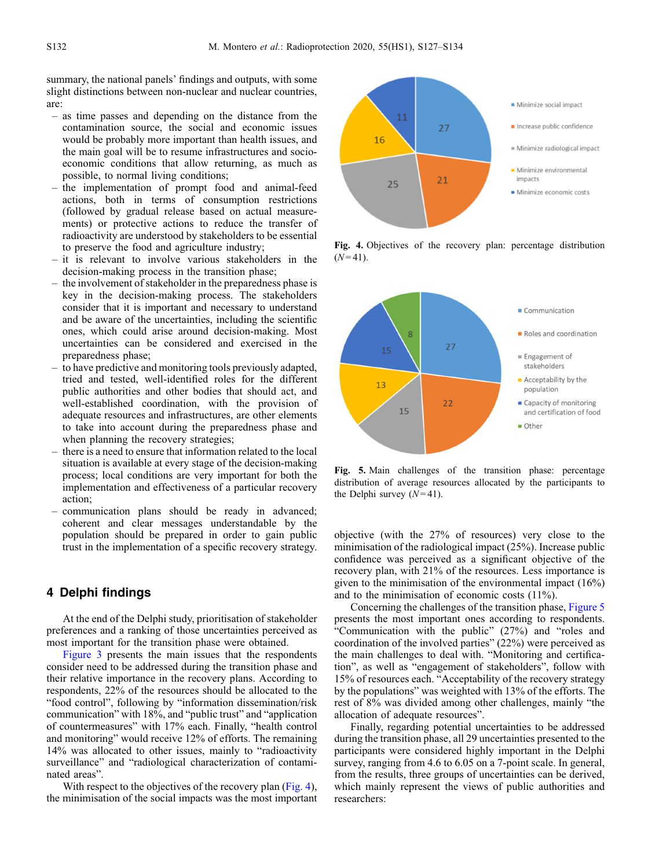summary, the national panels' findings and outputs, with some slight distinctions between non-nuclear and nuclear countries, are:

- as time passes and depending on the distance from the contamination source, the social and economic issues would be probably more important than health issues, and the main goal will be to resume infrastructures and socioeconomic conditions that allow returning, as much as possible, to normal living conditions;
- the implementation of prompt food and animal-feed actions, both in terms of consumption restrictions (followed by gradual release based on actual measurements) or protective actions to reduce the transfer of radioactivity are understood by stakeholders to be essential to preserve the food and agriculture industry;
- it is relevant to involve various stakeholders in the decision-making process in the transition phase;
- the involvement of stakeholder in the preparedness phase is key in the decision-making process. The stakeholders consider that it is important and necessary to understand and be aware of the uncertainties, including the scientific ones, which could arise around decision-making. Most uncertainties can be considered and exercised in the preparedness phase;
- to have predictive and monitoring tools previously adapted, tried and tested, well-identified roles for the different public authorities and other bodies that should act, and well-established coordination, with the provision of adequate resources and infrastructures, are other elements to take into account during the preparedness phase and when planning the recovery strategies;
- there is a need to ensure that information related to the local situation is available at every stage of the decision-making process; local conditions are very important for both the implementation and effectiveness of a particular recovery action;
- communication plans should be ready in advanced; coherent and clear messages understandable by the population should be prepared in order to gain public trust in the implementation of a specific recovery strategy.

## 4 Delphi findings

At the end of the Delphi study, prioritisation of stakeholder preferences and a ranking of those uncertainties perceived as most important for the transition phase were obtained.

[Figure 3](#page-4-0) presents the main issues that the respondents consider need to be addressed during the transition phase and their relative importance in the recovery plans. According to respondents, 22% of the resources should be allocated to the "food control", following by "information dissemination/risk communication" with 18%, and "public trust" and "application of countermeasures" with 17% each. Finally, "health control and monitoring" would receive 12% of efforts. The remaining 14% was allocated to other issues, mainly to "radioactivity surveillance" and "radiological characterization of contaminated areas".

With respect to the objectives of the recovery plan (Fig. 4), the minimisation of the social impacts was the most important



Fig. 4. Objectives of the recovery plan: percentage distribution  $(N = 41)$ .



Fig. 5. Main challenges of the transition phase: percentage distribution of average resources allocated by the participants to the Delphi survey  $(N=41)$ .

objective (with the 27% of resources) very close to the minimisation of the radiological impact (25%). Increase public confidence was perceived as a significant objective of the recovery plan, with 21% of the resources. Less importance is given to the minimisation of the environmental impact (16%) and to the minimisation of economic costs (11%).

Concerning the challenges of the transition phase, Figure 5 presents the most important ones according to respondents. "Communication with the public" (27%) and "roles and coordination of the involved parties" (22%) were perceived as the main challenges to deal with. "Monitoring and certification", as well as "engagement of stakeholders", follow with 15% of resources each. "Acceptability of the recovery strategy by the populations" was weighted with 13% of the efforts. The rest of 8% was divided among other challenges, mainly "the allocation of adequate resources".

Finally, regarding potential uncertainties to be addressed during the transition phase, all 29 uncertainties presented to the participants were considered highly important in the Delphi survey, ranging from 4.6 to 6.05 on a 7-point scale. In general, from the results, three groups of uncertainties can be derived, which mainly represent the views of public authorities and researchers: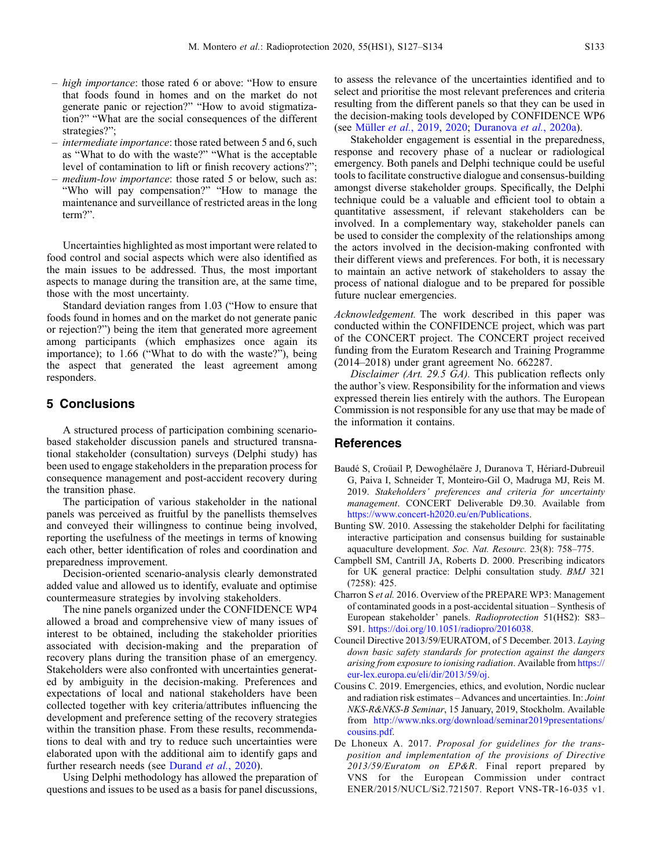- <span id="page-6-0"></span>– high importance: those rated 6 or above: "How to ensure that foods found in homes and on the market do not generate panic or rejection?" "How to avoid stigmatization?" "What are the social consequences of the different strategies?";
- intermediate importance: those rated between 5 and 6, such as "What to do with the waste?" "What is the acceptable level of contamination to lift or finish recovery actions?";
- medium-low importance: those rated 5 or below, such as: "Who will pay compensation?" "How to manage the maintenance and surveillance of restricted areas in the long term?".

Uncertainties highlighted as most important were related to food control and social aspects which were also identified as the main issues to be addressed. Thus, the most important aspects to manage during the transition are, at the same time, those with the most uncertainty.

Standard deviation ranges from 1.03 ("How to ensure that foods found in homes and on the market do not generate panic or rejection?") being the item that generated more agreement among participants (which emphasizes once again its importance); to 1.66 ("What to do with the waste?"), being the aspect that generated the least agreement among responders.

## 5 Conclusions

A structured process of participation combining scenariobased stakeholder discussion panels and structured transnational stakeholder (consultation) surveys (Delphi study) has been used to engage stakeholders in the preparation process for consequence management and post-accident recovery during the transition phase.

The participation of various stakeholder in the national panels was perceived as fruitful by the panellists themselves and conveyed their willingness to continue being involved, reporting the usefulness of the meetings in terms of knowing each other, better identification of roles and coordination and preparedness improvement.

Decision-oriented scenario-analysis clearly demonstrated added value and allowed us to identify, evaluate and optimise countermeasure strategies by involving stakeholders.

The nine panels organized under the CONFIDENCE WP4 allowed a broad and comprehensive view of many issues of interest to be obtained, including the stakeholder priorities associated with decision-making and the preparation of recovery plans during the transition phase of an emergency. Stakeholders were also confronted with uncertainties generated by ambiguity in the decision-making. Preferences and expectations of local and national stakeholders have been collected together with key criteria/attributes influencing the development and preference setting of the recovery strategies within the transition phase. From these results, recommendations to deal with and try to reduce such uncertainties were elaborated upon with the additional aim to identify gaps and further research needs (see [Durand](#page-7-0) *et al.*, 2020).

Using Delphi methodology has allowed the preparation of questions and issues to be used as a basis for panel discussions,

to assess the relevance of the uncertainties identified and to select and prioritise the most relevant preferences and criteria resulting from the different panels so that they can be used in the decision-making tools developed by CONFIDENCE WP6 (see [Müller](#page-7-0) et al., 2019, [2020](#page-7-0); [Duranova](#page-7-0) et al., 2020a).

Stakeholder engagement is essential in the preparedness, response and recovery phase of a nuclear or radiological emergency. Both panels and Delphi technique could be useful tools to facilitate constructive dialogue and consensus-building amongst diverse stakeholder groups. Specifically, the Delphi technique could be a valuable and efficient tool to obtain a quantitative assessment, if relevant stakeholders can be involved. In a complementary way, stakeholder panels can be used to consider the complexity of the relationships among the actors involved in the decision-making confronted with their different views and preferences. For both, it is necessary to maintain an active network of stakeholders to assay the process of national dialogue and to be prepared for possible future nuclear emergencies.

Acknowledgement. The work described in this paper was conducted within the CONFIDENCE project, which was part of the CONCERT project. The CONCERT project received funding from the Euratom Research and Training Programme (2014–2018) under grant agreement No. 662287.

Disclaimer (Art. 29.5 GA). This publication reflects only the author's view. Responsibility for the information and views expressed therein lies entirely with the authors. The European Commission is not responsible for any use that may be made of the information it contains.

### References

- Baudé S, Croüail P, Dewoghélaëre J, Duranova T, Hériard-Dubreuil G, Paiva I, Schneider T, Monteiro-Gil O, Madruga MJ, Reis M. 2019. Stakeholders' preferences and criteria for uncertainty management. CONCERT Deliverable D9.30. Available from [https://www.concert-h2020.eu/en/Publications.](https://www.concert-h2020.eu/en/Publications)
- Bunting SW. 2010. Assessing the stakeholder Delphi for facilitating interactive participation and consensus building for sustainable aquaculture development. Soc. Nat. Resourc. 23(8): 758–775.
- Campbell SM, Cantrill JA, Roberts D. 2000. Prescribing indicators for UK general practice: Delphi consultation study. BMJ 321 (7258): 425.
- Charron S et al. 2016. Overview of the PREPARE WP3: Management of contaminated goods in a post-accidental situation – Synthesis of European stakeholder' panels. Radioprotection 51(HS2): S83– S91. <https://doi.org/10.1051/radiopro/2016038>.
- Council Directive 2013/59/EURATOM, of 5 December. 2013. Laying down basic safety standards for protection against the dangers arising from exposure to ionising radiation. Available from [https://](https://eur-lex.europa.eu/eli/dir/2013/59/oj) [eur-lex.europa.eu/eli/dir/2013/59/oj](https://eur-lex.europa.eu/eli/dir/2013/59/oj).
- Cousins C. 2019. Emergencies, ethics, and evolution, Nordic nuclear and radiation risk estimates – Advances and uncertainties. In: Joint NKS-R&NKS-B Seminar, 15 January, 2019, Stockholm. Available from [http://www.nks.org/download/seminar2019presentations/](http://www.nks.org/download/seminar2019presentations/cousins.pdf) [cousins.pdf](http://www.nks.org/download/seminar2019presentations/cousins.pdf).
- De Lhoneux A. 2017. Proposal for guidelines for the transposition and implementation of the provisions of Directive 2013/59/Euratom on EP&R. Final report prepared by VNS for the European Commission under contract ENER/2015/NUCL/Si2.721507. Report VNS-TR-16-035 v1.